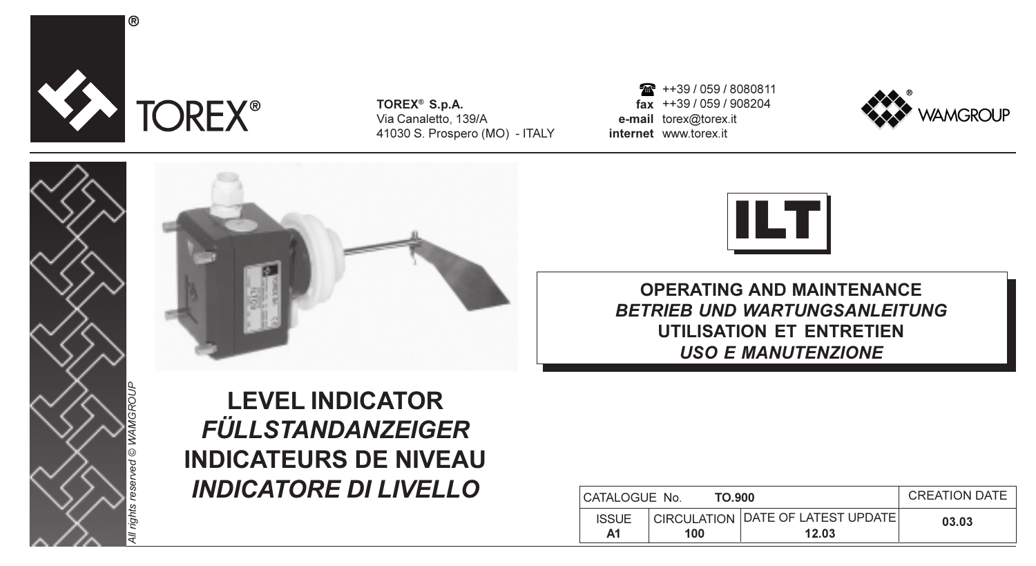

 $^{\circ}$ 

TOREX® S.p.A. Via Canaletto, 139/A 41030 S. Prospero (MO) - ITALY

fax ++39 / 059 / 908204 e-mail torex@torex.it internet www.torex.it ++39 / 059 / 8080811









OPERATING AND MAINTENANCE BETRIEB UND WARTUNGSANLEITUNG UTILISATION ET ENTRETIEN USO E MANUTENZIONE

LEVEL INDICATOR FÜLLSTANDANZEIGER INDICATEURS DE NIVEAU INDICATORE DI LIVELLO

| CATALOGUE No.      | TO 900 |                                            | <b>CREATION DATE</b> |
|--------------------|--------|--------------------------------------------|----------------------|
| <b>ISSUE</b><br>Α1 | 100    | CIRCULATION DATE OF LATEST UPDATE<br>12.03 | 03.03                |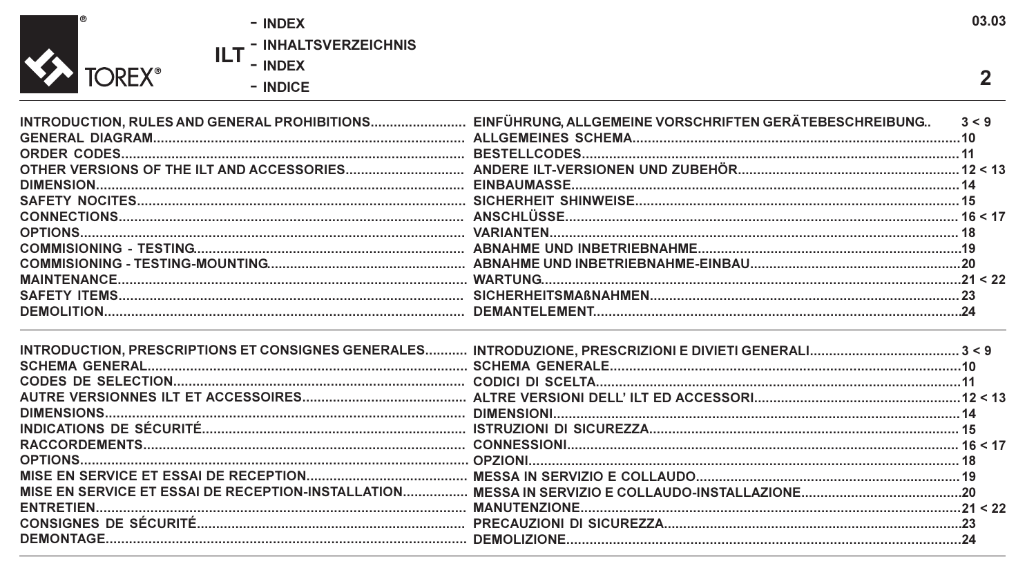03.03 - INDEX ILT - INHALTSVERZEICHNIS Y TOREX®  $\overline{2}$  $-$  INDICE

|            | 3 < 9<br>10 |
|------------|-------------|
|            |             |
|            | 14          |
|            | 16 < 17     |
|            |             |
|            |             |
|            | 21 < 22     |
|            |             |
| DEMOLITION | 24          |

 $^{\circ}$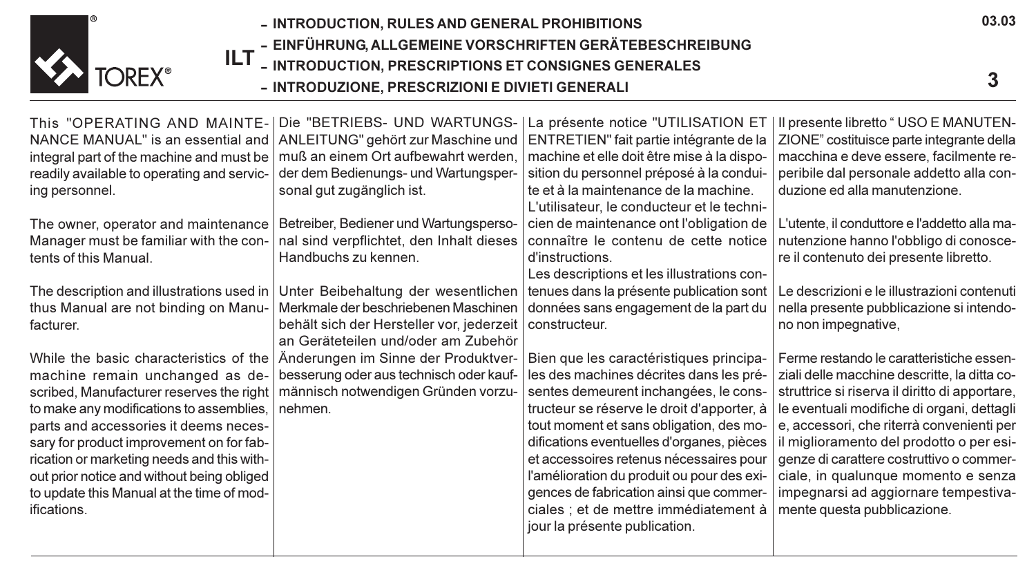

ILT - INTRODUCTION, PRESCRIPTIONS ET CONSIGNES GENERALES

- INTRODUZIONE, PRESCRIZIONI E DIVIETI GENERALI

03.03

This "OPERATING AND MAINTE-|Die "BETRIEBS- UND WARTUNGS-|La présente notice "UTILISATION ET NANCE MANUAL" is an essential and ANLEITUNG" gehört zur Maschine und integral part of the machine and must be readily available to operating and servicing personnel.

The owner, operator and maintenance Manager must be familiar with the contents of this Manual.

The description and illustrations used in thus Manual are not binding on Manufacturer.

While the basic characteristics of the machine remain unchanged as described, Manufacturer reserves the right to make any modifications to assemblies, parts and accessories it deems necessary for product improvement on for fabrication or marketing needs and this without prior notice and without being obliged to update this Manual at the time of modifications.

muß an einem Ort aufbewahrt werden, der dem Bedienungs- und Wartungspersonal gut zugänglich ist.

Betreiber, Bediener und Wartungsperso-Handbuchs zu kennen.

Unter Beibehaltung der wesentlichen Merkmale der beschriebenen Maschinen behält sich der Hersteller vor, jederzeit | constructeur. an Geräteteilen und/oder am Zubehör Änderungen im Sinne der Produktverbesserung oder aus technisch oder kaufmännisch notwendigen Gründen vorzunehmen.

nal sind verpflichtet, den Inhalt dieses | connaître Ie contenu de cette notice ENTRETIEN" fait partie intégrante de la machine et elle doit être mise à la disposition du personnel préposé à la conduite et à la maintenance de la machine. L'utilisateur, le conducteur et le technicien de maintenance ont l'obligation de d'instructions.

> Les descriptions et les illustrations contenues dans la présente publication sont données sans engagement de la part du

Bien que les caractéristiques principales des machines décrites dans les présentes demeurent inchangées, le constructeur se réserve le droit d'apporter, à tout moment et sans obligation, des modifications eventuelles d'organes, pièces et accessoires retenus nécessaires pour l'amélioration du produit ou pour des exigences de fabrication ainsi que commerciales ; et de mettre immédiatement à jour la présente publication.

Il presente libretto " USO E MANUTEN-ZIONE" costituisce parte integrante della macchina e deve essere, facilmente reperibile dal personale addetto alla conduzione ed alla manutenzione.

L'utente, il conduttore e l'addetto alla manutenzione hanno l'obbligo di conoscere il contenuto dei presente libretto.

Le descrizioni e le illustrazioni contenuti nella presente pubblicazione si intendono non impegnative,

Ferme restando le caratteristiche essenziali delle macchine descritte, la ditta costruttrice si riserva il diritto di apportare, le eventuali modifiche di organi, dettagli e, accessori, che riterrà convenienti per il miglioramento del prodotto o per esigenze di carattere costruttivo o commerciale, in qualunque momento e senza impegnarsi ad aggiornare tempestivamente questa pubblicazione.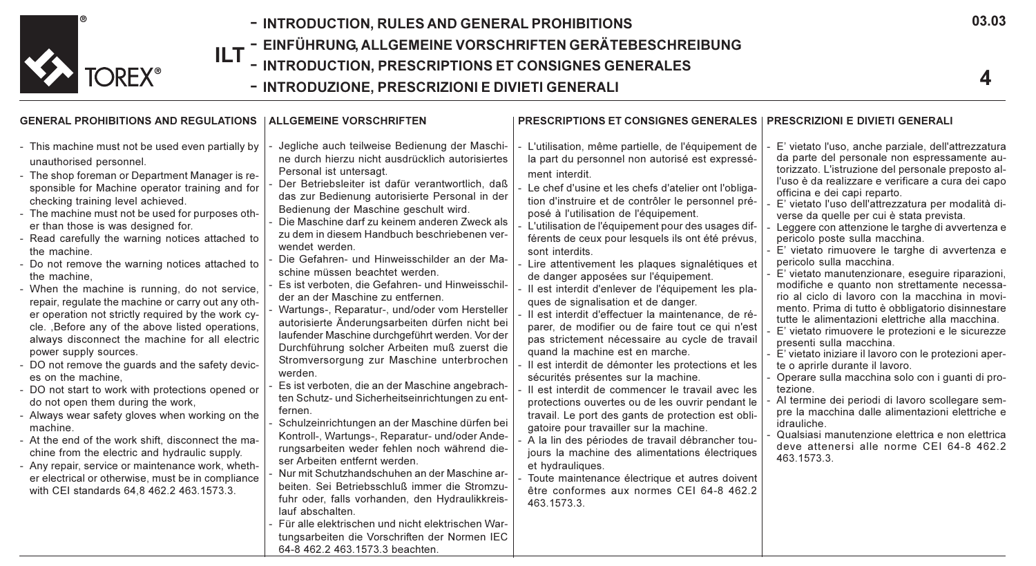

- INTRODUCTION, RULES AND GENERAL PROHIBITIONS INTRODUCTION, RULES AND GENERAL PROHIBITIONS
- ILT EINFÜHRUNG, ALLGEMEINE VORSCHRIFTEN GERÄTEBESCHREIBUNG
	- INTRODUCTION, PRESCRIPTIONS ET CONSIGNES GENERALES
	- INTRODUZIONE, PRESCRIZIONI E DIVIETI GENERALI

#### GENERAL PROHIBITIONS AND REGULATIONS ALLGEMEINE VORSCHRIFTEN

#### - This machine must not be used even partially by unauthorised personnel.

- The shop foreman or Department Manager is responsible for Machine operator training and for checking training level achieved.
- The machine must not be used for purposes other than those is was designed for.
- Read carefully the warning notices attached to the machine.
- Do not remove the warning notices attached to the machine,
- When the machine is running, do not service, repair, regulate the machine or carry out any other operation not strictly required by the work cycle. ,Before any of the above listed operations, always disconnect the machine for all electric power supply sources.
- DO not remove the guards and the safety devices on the machine,
- DO not start to work with protections opened or do not open them during the work,
- Always wear safety gloves when working on the machine.
- At the end of the work shift, disconnect the machine from the electric and hydraulic supply.
- Any repair, service or maintenance work, whether electrical or otherwise, must be in compliance with CEI standards 64,8 462.2 463.1573.3.
- Jegliche auch teilweise Bedienung der Maschine durch hierzu nicht ausdrücklich autorisiertes Personal ist untersagt.
- Der Betriebsleiter ist dafür verantwortlich, daß das zur Bedienung autorisierte Personal in der Bedienung der Maschine geschult wird.
- Die Maschine darf zu keinem anderen Zweck als zu dem in diesem Handbuch beschriebenen verwendet werden.
- Die Gefahren- und Hinweisschilder an der Maschine müssen beachtet werden.
- Es ist verboten, die Gefahren- und Hinweisschilder an der Maschine zu entfernen.
- Wartungs-, Reparatur-, und/oder vom Hersteller autorisierte Änderungsarbeiten dürfen nicht bei laufender Maschine durchgeführt werden. Vor der Durchführung solcher Arbeiten muß zuerst die Stromversorgung zur Maschine unterbrochen werden.
- Es ist verboten, die an der Maschine angebrachten Schutz- und Sicherheitseinrichtungen zu entfernen.
- Schulzeinrichtungen an der Maschine dürfen bei Kontroll-, Wartungs-, Reparatur- und/oder Anderungsarbeiten weder fehlen noch während dieser Arbeiten entfernt werden.
- Nur mit Schutzhandschuhen an der Maschine arbeiten. Sei Betriebsschluß immer die Stromzufuhr oder, falls vorhanden, den Hydraulikkreislauf abschalten.
- Für alle elektrischen und nicht elektrischen Wartungsarbeiten die Vorschriften der Normen IEC 64-8 462.2 463.1573.3 beachten.
- PRESCRIPTIONS ET CONSIGNES GENERALES PRESCRIZIONI E DIVIETI GENERALI
- L'utilisation, même partielle, de l'équipement de la part du personnel non autorisé est expressément interdit.
- Le chef d'usine et les chefs d'atelier ont l'obligation d'instruire et de contrôler le personnel préposé à l'utilisation de l'équipement.
- L'utilisation de l'équipement pour des usages différents de ceux pour lesquels ils ont été prévus, sont interdits.
- Lire attentivement les plaques signalétiques et de danger apposées sur l'équipement.
- Il est interdit d'enlever de l'équipement les plaques de signalisation et de danger.
- Il est interdit d'effectuer la maintenance, de réparer, de modifier ou de faire tout ce qui n'est pas strictement nécessaire au cycle de travail quand la machine est en marche.
- Il est interdit de démonter les protections et les sécurités présentes sur la machine.
- Il est interdit de commencer le travail avec les protections ouvertes ou de les ouvrir pendant le travail. Le port des gants de protection est obligatoire pour travailler sur la machine.
- A la lin des périodes de travail débrancher toujours la machine des alimentations électriques et hydrauliques.
- Toute maintenance électrique et autres doivent être conformes aux normes CEI 64-8 462.2 463.1573.3.
- E' vietato l'uso, anche parziale, dell'attrezzatura da parte del personale non espressamente autorizzato. L'istruzione del personale preposto all'uso è da realizzare e verificare a cura dei capo officina e dei capi reparto.
- E' vietato l'uso dell'attrezzatura per modalità diverse da quelle per cui è stata prevista.
- Leggere con attenzione le targhe di avvertenza e pericolo poste sulla macchina.
- E' vietato rimuovere le targhe di avvertenza e pericolo sulla macchina.
- E' vietato manutenzionare, eseguire riparazioni, modifiche e quanto non strettamente necessario al ciclo di lavoro con la macchina in movimento. Prima di tutto è obbligatorio disinnestare tutte le alimentazioni elettriche alla macchina.
- E' vietato rimuovere le protezioni e le sicurezze presenti sulla macchina.
- E' vietato iniziare il lavoro con le protezioni aperte o aprirle durante il lavoro.
- Operare sulla macchina solo con i guanti di protezione.
- Al termine dei periodi di lavoro scollegare sempre la macchina dalle alimentazioni elettriche e idrauliche.
- Qualsiasi manutenzione elettrica e non elettrica deve attenersi alle norme CEI 64-8 462.2 463.1573.3.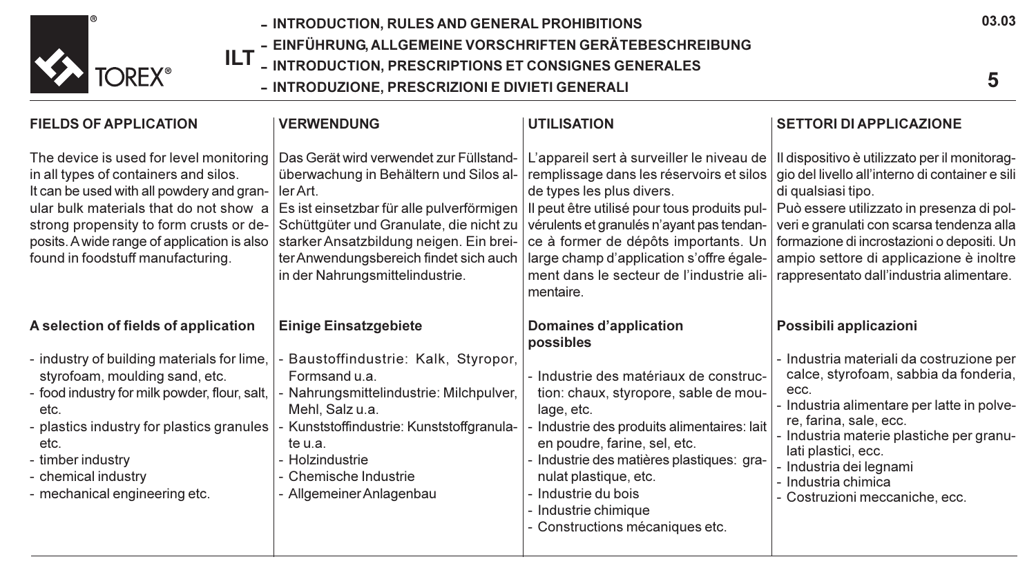

- INTRODUCTION, RULES AND GENERAL PROHIBITIONS
- EINFÜHRUNG, ALLGEMEINE VORSCHRIFTEN GERÄTEBESCHREIBUNG
- ILT INTRODUCTION, PRESCRIPTIONS ET CONSIGNES GENERALES
	- INTRODUZIONE, PRESCRIZIONI E DIVIETI GENERALI

| <b>FIELDS OF APPLICATION</b>                                                                                                                                                                                                                                                                           | <b>VERWENDUNG</b>                                                                                                                                                                                                                                                                                             | <b>UTILISATION</b>                                                                                                                                                                                                                                                                                                                                           | <b>SETTORI DI APPLICAZIONE</b>                                                                                                                                                                                                                                                                                                                        |
|--------------------------------------------------------------------------------------------------------------------------------------------------------------------------------------------------------------------------------------------------------------------------------------------------------|---------------------------------------------------------------------------------------------------------------------------------------------------------------------------------------------------------------------------------------------------------------------------------------------------------------|--------------------------------------------------------------------------------------------------------------------------------------------------------------------------------------------------------------------------------------------------------------------------------------------------------------------------------------------------------------|-------------------------------------------------------------------------------------------------------------------------------------------------------------------------------------------------------------------------------------------------------------------------------------------------------------------------------------------------------|
| The device is used for level monitoring<br>in all types of containers and silos.<br>It can be used with all powdery and gran-<br>ular bulk materials that do not show a<br>strong propensity to form crusts or de-<br>posits. A wide range of application is also<br>found in foodstuff manufacturing. | Das Gerät wird verwendet zur Füllstand-<br>überwachung in Behältern und Silos al-<br>ler Art.<br>Es ist einsetzbar für alle pulverförmigen<br>Schüttgüter und Granulate, die nicht zu<br>starker Ansatzbildung neigen. Ein brei-<br>ter Anwendungsbereich findet sich auch<br>in der Nahrungsmittelindustrie. | L'appareil sert à surveiller le niveau de<br>remplissage dans les réservoirs et silos<br>de types les plus divers.<br>Il peut être utilisé pour tous produits pul-<br>vérulents et granulés n'ayant pas tendan-<br>ce à former de dépôts importants. Un<br>large champ d'application s'offre égale-<br>ment dans le secteur de l'industrie ali-<br>mentaire. | Il dispositivo è utilizzato per il monitorag-<br>gio del livello all'interno di container e sili<br>di qualsiasi tipo.<br>Può essere utilizzato in presenza di pol-<br>veri e granulati con scarsa tendenza alla<br>formazione di incrostazioni o depositi. Un<br>ampio settore di applicazione è inoltre<br>rappresentato dall'industria alimentare. |
| A selection of fields of application                                                                                                                                                                                                                                                                   | <b>Einige Einsatzgebiete</b>                                                                                                                                                                                                                                                                                  | Domaines d'application<br>possibles                                                                                                                                                                                                                                                                                                                          | Possibili applicazioni                                                                                                                                                                                                                                                                                                                                |
| - industry of building materials for lime,<br>styrofoam, moulding sand, etc.<br>- food industry for milk powder, flour, salt,<br>etc.<br>- plastics industry for plastics granules<br>etc.<br>- timber industry<br>- chemical industry<br>- mechanical engineering etc.                                | Baustoffindustrie: Kalk, Styropor,<br>Formsand u.a.<br>Nahrungsmittelindustrie: Milchpulver,<br>Mehl, Salz u.a.<br>Kunststoffindustrie: Kunststoffgranula-<br>te u.a.<br>- Holzindustrie<br>- Chemische Industrie<br>- Allgemeiner Anlagenbau                                                                 | - Industrie des matériaux de construc-<br>tion: chaux, styropore, sable de mou-<br>lage, etc.<br>Industrie des produits alimentaires: lait<br>en poudre, farine, sel, etc.<br>- Industrie des matières plastiques: gra-<br>nulat plastique, etc.<br>- Industrie du bois<br>- Industrie chimique<br>- Constructions mécaniques etc.                           | - Industria materiali da costruzione per<br>calce, styrofoam, sabbia da fonderia,<br>ecc.<br>- Industria alimentare per latte in polve-<br>re, farina, sale, ecc.<br>- Industria materie plastiche per granu-<br>lati plastici, ecc.<br>- Industria dei legnami<br>- Industria chimica<br>- Costruzioni meccaniche, ecc.                              |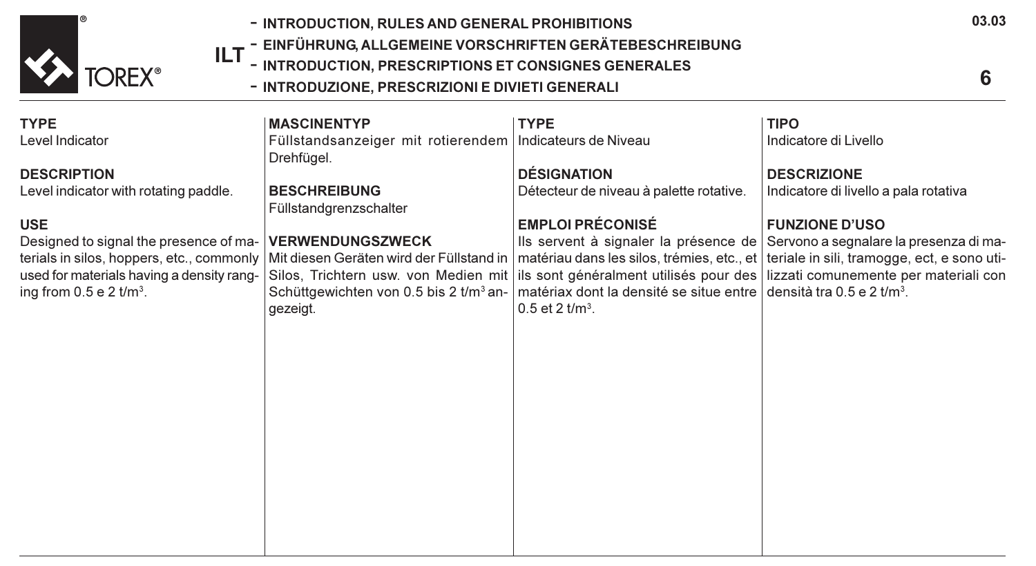

- INTRODUCTION, RULES AND GENERAL PROHIBITIONS
- **ILT –** EINFÜHRUNG, ALLGEMEINE VORSCHRIFTEN GERÄTEBESCHREIBUNG<br>ILT INTRODUCTION, PRESCRIPTIONS ET CONSIGNES GENERALES
	- INTRODUCTION, PRESCRIPTIONS ET CONSIGNES GENERALES
		- INTRODUZIONE, PRESCRIZIONI E DIVIETI GENERALI

| <b>TYPE</b>                                                                                                                                                   | <b>MASCINENTYP</b>                                                                        | <b>TYPE</b>                                                                                                          | <b>TIPO</b>                                                                                                                                                                                                                                                                                                                              |
|---------------------------------------------------------------------------------------------------------------------------------------------------------------|-------------------------------------------------------------------------------------------|----------------------------------------------------------------------------------------------------------------------|------------------------------------------------------------------------------------------------------------------------------------------------------------------------------------------------------------------------------------------------------------------------------------------------------------------------------------------|
| Level Indicator                                                                                                                                               | Füllstandsanzeiger mit rotierendem<br>Drehfügel.                                          | Indicateurs de Niveau                                                                                                | Indicatore di Livello                                                                                                                                                                                                                                                                                                                    |
| <b>DESCRIPTION</b>                                                                                                                                            |                                                                                           | <b>DÉSIGNATION</b>                                                                                                   | <b>DESCRIZIONE</b>                                                                                                                                                                                                                                                                                                                       |
| Level indicator with rotating paddle.                                                                                                                         | <b>BESCHREIBUNG</b><br>Füllstandgrenzschalter                                             | Détecteur de niveau à palette rotative.                                                                              | Indicatore di livello a pala rotativa                                                                                                                                                                                                                                                                                                    |
| <b>USE</b>                                                                                                                                                    |                                                                                           | <b>EMPLOI PRÉCONISÉ</b>                                                                                              | <b>FUNZIONE D'USO</b>                                                                                                                                                                                                                                                                                                                    |
| Designed to signal the presence of ma-<br>terials in silos, hoppers, etc., commonly<br>used for materials having a density rang-<br>ing from $0.5 e 2 t/m3$ . | <b>VERWENDUNGSZWECK</b><br>Schüttgewichten von 0.5 bis 2 t/m <sup>3</sup> an-<br>gezeigt. | $\vert$ matériax dont la densité se situe entre $\vert$ densità tra 0.5 e 2 t/m <sup>3</sup> .<br>0.5 et 2 $t/m^3$ . | Ils servent à signaler la présence de Servono a segnalare la presenza di ma-<br>Mit diesen Geräten wird der Füllstand in   matériau dans les silos, trémies, etc., et   teriale in sili, tramogge, ect, e sono uti-<br>Silos, Trichtern usw. von Medien mit ils sont généralment utilisés pour des lizzati comunemente per materiali con |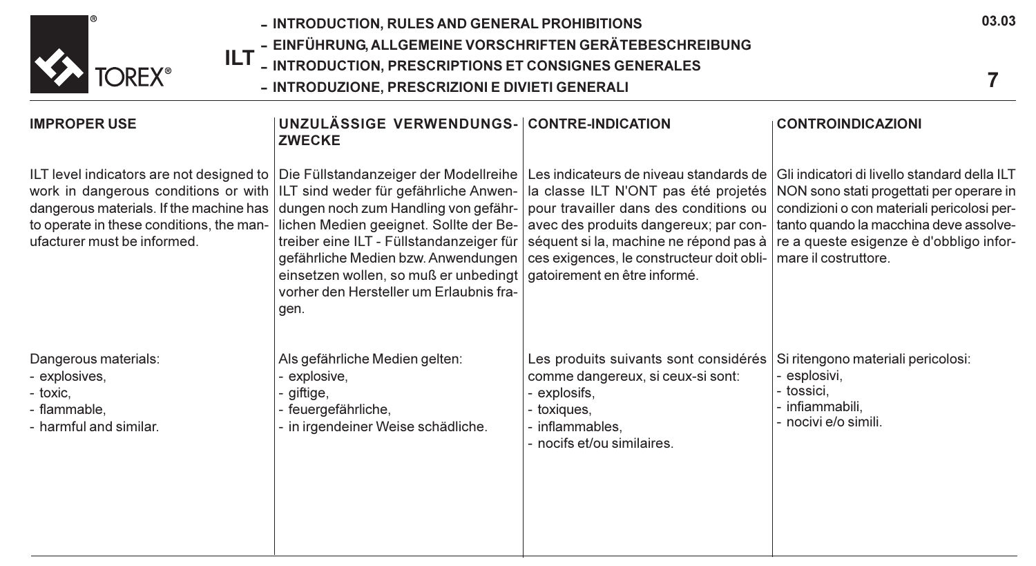

- EINFÜHRUNG, ALLGEMEINE VORSCHRIFTEN GERÄTEBESCHREIBUNG
- ILT - INTRODUCTION, PRESCRIPTIONS ET CONSIGNES GENERALES
	- INTRODUZIONE, PRESCRIZIONI E DIVIETI GENERALI

#### IMPROPER USE ILT level indicators are not designed to work in dangerous conditions or with ILT sind weder für gefährliche Anwendangerous materials. If the machine has to operate in these conditions, the manufacturer must be informed. Dangerous materials: - explosives, - toxic, - flammable, - harmful and similar. UNZULÄSSIGE VERWENDUNGS-CONTRE-INDICATION **ZWECKE** Die Füllstandanzeiger der Modellreihe dungen noch zum Handling von gefährlichen Medien geeignet. Sollte der Betreiber eine ILT - Füllstandanzeiger für gefährliche Medien bzw. Anwendungen einsetzen wollen, so muß er unbedingt vorher den Hersteller um Erlaubnis fragen. Als gefährliche Medien gelten: explosive. qiftige. - feuergefährliche, - in irgendeiner Weise schädliche. Les indicateurs de niveau standards de la classe ILT N'ONT pas été projetés pour travailler dans des conditions ou avec des produits dangereux; par conséquent si la, machine ne répond pas à | re a queste esigenze è d'obbligo inforces exigences, le constructeur doit obligatoirement en être informé. Les produits suivants sont considérés comme dangereux, si ceux-si sont: explosifs. toxiques. - inflammables, - nocifs et/ou similaires. CONTROINDICAZIONI Gli indicatori di livello standard della ILT NON sono stati progettati per operare in condizioni o con materiali pericolosi pertanto quando la macchina deve assolvemare il costruttore. Si ritengono materiali pericolosi: esplosivi. - tossici, - infiammabili, - nocivi e/o simili.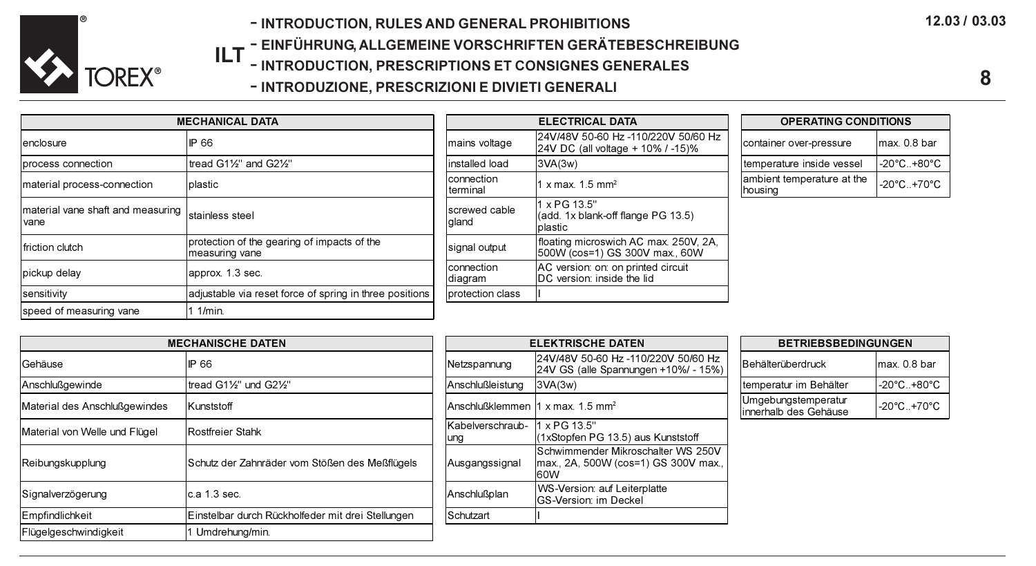

- INTRODUCTION, RULES AND GENERAL PROHIBITIONS
- **ILT –** EINFÜHRUNG, ALLGEMEINE VORSCHRIFTEN GERÄTEBESCHREIBUNG<br>ILT INTRODUCTION, PRESCRIPTIONS ET CONSIGNES GENERALES
	- INTRODUCTION, PRESCRIPTIONS ET CONSIGNES GENERALES
		- INTRODUZIONE, PRESCRIZIONI E DIVIETI GENERALI

| <b>MECHANICAL DATA</b>                                    |                                                               | <b>ELECTRICAL DATA</b>         |                                                                          | <b>OPERATING CONDITIONS</b>            |              |
|-----------------------------------------------------------|---------------------------------------------------------------|--------------------------------|--------------------------------------------------------------------------|----------------------------------------|--------------|
| enclosure                                                 | IP 66                                                         | Imains voltage                 | 24V/48V 50-60 Hz -110/220V 50/60 Hz<br>24V DC (all voltage + 10% / -15)% | container over-pressure                | max. 0.8 bar |
| process connection                                        | tread G11/2" and G21/2"                                       | linstalled load                | 3VA(3W)                                                                  | temperature inside vessel              | -20°C+80°C   |
| material process-connection                               | <b>I</b> plastic                                              | Iconnection<br>Iterminal       | 1 x max. $1.5$ mm <sup>2</sup>                                           | lambient temperature at the<br>housing | -20°C+70°C   |
| material vane shaft and measuring stainless steel<br>vane |                                                               | <b>Iscrewed cable</b><br>gland | 1 x PG 13.5"<br>(add. 1x blank-off flange PG 13.5)<br>Iplastic           |                                        |              |
| friction clutch                                           | protection of the gearing of impacts of the<br>measuring vane | signal output                  | floating microswich AC max. 250V, 2A,<br>500W (cos=1) GS 300V max., 60W  |                                        |              |
| pickup delay                                              | lapprox. 1.3 sec.                                             | connection<br> diagram         | AC version: on: on printed circuit<br><b>IDC</b> version: inside the lid |                                        |              |
| sensitivity                                               | adjustable via reset force of spring in three positions       | Iprotection class              |                                                                          |                                        |              |
| speed of measuring vane                                   | $1/m$ in.                                                     |                                |                                                                          |                                        |              |

| <b>MECHANICAL DATA</b> |                                                               |                          | <b>ELECTRICAL DATA</b>                                                   | <b>OPERATING CONDITIONS</b>           |                  |
|------------------------|---------------------------------------------------------------|--------------------------|--------------------------------------------------------------------------|---------------------------------------|------------------|
|                        | <b>IP 66</b>                                                  | mains voltage            | 24V/48V 50-60 Hz -110/220V 50/60 Hz<br>24V DC (all voltage + 10% / -15)% | container over-pressure               | max. 0           |
|                        | Itread G11⁄2" and G21⁄2"                                      | installed load           | 3VA(3w)                                                                  | temperature inside vessel             | $-20^{\circ}$ C. |
|                        | <b>I</b> plastic                                              | Iconnection<br>Iterminal | $1x$ max. $1.5$ mm <sup>2</sup>                                          | ambient temperature at the<br>housing | $-20^{\circ}$ C. |
|                        | stainless steel                                               | screwed cable<br>gland   | 1 x PG 13.5"<br>(add, 1x blank-off flange PG 13.5)<br>Iplastic           |                                       |                  |
|                        | protection of the gearing of impacts of the<br>measuring vane | signal output            | floating microswich AC max. 250V, 2A,<br>1500W (cos=1) GS 300V max., 60W |                                       |                  |
|                        | lapprox, 1.3 sec.                                             | connection<br>Idiagram   | AC version: on: on printed circuit<br>IDC version: inside the lid        |                                       |                  |
|                        | adjustable via reset force of spring in three positions       | Iprotection class        |                                                                          |                                       |                  |
|                        |                                                               |                          |                                                                          |                                       |                  |

| <b>ELECTRICAL DATA</b>                                                   |  | <b>OPERATING CONDITIONS</b>                    |                                 |  |  |  |
|--------------------------------------------------------------------------|--|------------------------------------------------|---------------------------------|--|--|--|
| 24V/48V 50-60 Hz -110/220V 50/60 Hz<br>24V DC (all voltage + 10% / -15)% |  | container over-pressure                        | max. 0.8 bar                    |  |  |  |
| 3VA(3w)                                                                  |  | temperature inside vessel                      | $-20^{\circ}$ C $+80^{\circ}$ C |  |  |  |
| 1 x max. $1.5$ mm <sup>2</sup>                                           |  | ambient temperature at the<br><b>I</b> housing | $-20^{\circ}$ C+70 $^{\circ}$ C |  |  |  |

| <b>MECHANISCHE DATEN</b>      |                                                   |                                               | <b>ELEKTRISCHE DATEN</b>                                                          |                                              | <b>BETRIEBSBEDINGUNGEN</b>       |  |
|-------------------------------|---------------------------------------------------|-----------------------------------------------|-----------------------------------------------------------------------------------|----------------------------------------------|----------------------------------|--|
| Gehäuse                       | <b>IP 66</b>                                      | Netzspannung                                  | 24V/48V 50-60 Hz -110/220V 50/60 Hz<br>24V GS (alle Spannungen +10%/ - 15%)       | Behälterüberdruck                            | max. 0.8 bar                     |  |
| Anschlußgewinde               | tread G11/2" und G21/2"                           | <b>Anschlußleistung</b>                       | 3VA(3W)                                                                           | temperatur im Behälter                       | -20°C+80°C                       |  |
| Material des Anschlußgewindes | Kunststoff                                        | Anschlußklemmen 11 x max, 1.5 mm <sup>2</sup> |                                                                                   | Umgebungstemperatur<br>innerhalb des Gehäuse | $-20^{\circ}$ C. $+70^{\circ}$ C |  |
| Material von Welle und Flügel | Rostfreier Stahk                                  | Kabelverschraub- 1 x PG 13.5"<br>ung          | (1xStopfen PG 13.5) aus Kunststoff                                                |                                              |                                  |  |
| Reibungskupplung              | Schutz der Zahnräder vom Stößen des Meßflügels    | Ausgangssignal                                | Schwimmender Mikroschalter WS 250V<br>max., 2A, 500W (cos=1) GS 300V max.,<br>60W |                                              |                                  |  |
| Signalverzögerung             | c.a 1.3 sec.                                      | Anschlußplan                                  | WS-Version: auf Leiterplatte<br><b>GS-Version: im Deckel</b>                      |                                              |                                  |  |
| Empfindlichkeit               | Einstelbar durch Rückholfeder mit drei Stellungen | Schutzart                                     |                                                                                   |                                              |                                  |  |
| Flügelgeschwindigkeit         | Umdrehung/min.                                    |                                               |                                                                                   |                                              |                                  |  |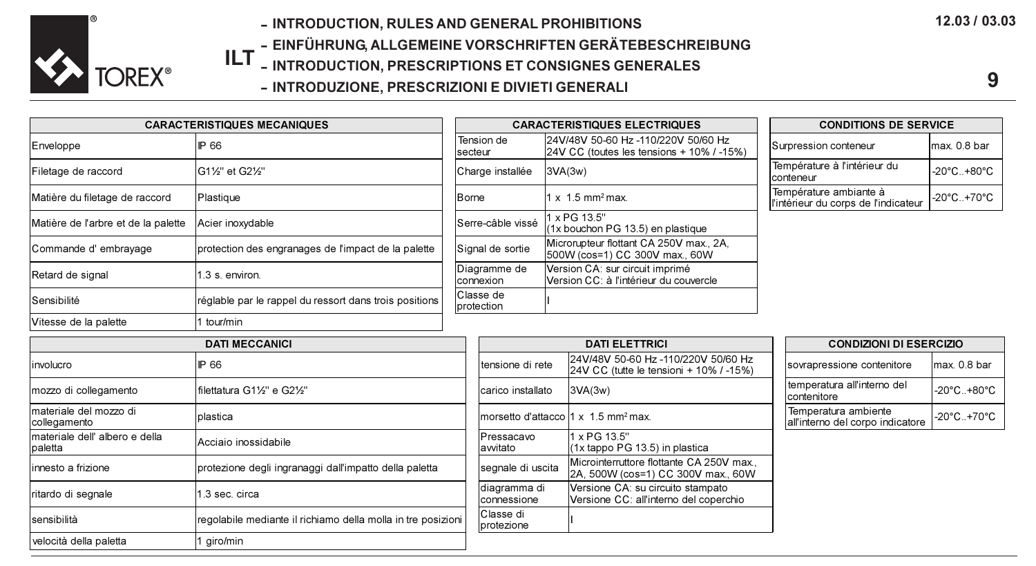

- INTRODUCTION, RULES AND GENERAL PROHIBITIONS

- EINFÜHRUNG, ALLGEMEINE VORSCHRIFTEN GERÄTEBESCHREIBUNG

- ILT INTRODUCTION, PRESCRIPTIONS ET CONSIGNES GENERALES
	- INTRODUZIONE, PRESCRIZIONI E DIVIETI GENERALI

CARACTERISTIQUES MECANIQUES CARACTERISTIQUES ELECTRIQUES

| 12.03 / 03.03 |  |  |
|---------------|--|--|
|---------------|--|--|

| <b>CONDITIONS DE SERVICE</b>                                 |              |  |  |  |
|--------------------------------------------------------------|--------------|--|--|--|
| Surpression conteneur                                        | max. 0.8 bar |  |  |  |
| Température à l'intérieur du<br>conteneur                    | -20°C+80°C   |  |  |  |
| Température ambiante à<br>intérieur du corps de l'indicateur | -20°C+70°C   |  |  |  |

| Enveloppe                                 | <b>P66</b>                                                   | Tension de<br>secteur       |         | 24V/48V 50-60 Hz -110/220V 50/60 Hz<br>24V CC (toutes les tensions + 10% / -15%) | Surpression conteneur                                          | lmax. 0.8 bar                    |
|-------------------------------------------|--------------------------------------------------------------|-----------------------------|---------|----------------------------------------------------------------------------------|----------------------------------------------------------------|----------------------------------|
| Filetage de raccord                       | G11/2" et G21/2"                                             | Charge installée            | 3VA(3w) |                                                                                  | Température à l'intérieur du<br>conteneur                      | $-20^{\circ}$ C $-+80^{\circ}$ C |
| Matière du filetage de raccord            | Plastique                                                    | Borne                       |         | $1 \times 1.5$ mm <sup>2</sup> max.                                              | Température ambiante à<br>l'intérieur du corps de l'indicateur | $-20^{\circ}$ C $-+70^{\circ}$ C |
| Matière de l'arbre et de la palette       | Acier inoxydable                                             | Serre-câble vissé           |         | x PG 13.5"<br>(1x bouchon PG 13.5) en plastique                                  |                                                                |                                  |
| Commande d'embrayage                      | protection des engranages de l'impact de la palette          | Signal de sortie            |         | Microrupteur flottant CA 250V max., 2A.<br>500W (cos=1) CC 300V max., 60W        |                                                                |                                  |
| Retard de signal                          | 3 s. environ.                                                | Diagramme de<br>connexion   |         | Version CA: sur circuit imprimé<br>Version CC: à l'intérieur du couvercle        |                                                                |                                  |
| Sensibilité                               | réglable par le rappel du ressort dans trois positions       | Classe de<br>protection     |         |                                                                                  |                                                                |                                  |
| Vitesse de la palette                     | tour/min                                                     |                             |         |                                                                                  |                                                                |                                  |
|                                           | <b>DATI MECCANICI</b>                                        |                             |         | <b>DATI ELETTRICI</b>                                                            | <b>CONDIZIONI DI ESERCIZIO</b>                                 |                                  |
| involucro                                 | IP 66                                                        | tensione di rete            |         | 24V/48V 50-60 Hz -110/220V 50/60 Hz<br>24V CC (tutte le tensioni + 10% / -15%)   | sovrapressione contenitore                                     | max. 0.8 bar                     |
| mozzo di collegamento                     | filettatura G11/3" e G21/3"                                  | carico installato           |         | 3VA(3W)                                                                          | temperatura all'interno del<br>contenitore                     | -20°C+80°C                       |
| materiale del mozzo di<br>collegamento    | plastica                                                     |                             |         | morsetto d'attacco 1 x 1.5 mm <sup>2</sup> max.                                  | Temperatura ambiente<br>all'interno del corpo indicatore       | $-20^{\circ}$ C $-+70^{\circ}$ C |
| materiale dell' albero e della<br>paletta | Acciaio inossidabile                                         | Pressacavo<br>awitato       |         | 1 x PG 13.5"<br>(1x tappo PG 13.5) in plastica                                   |                                                                |                                  |
| linnesto a frizione                       | protezione degli ingranaggi dall'impatto della paletta       | segnale di uscita           |         | Microinterruttore flottante CA 250V max<br>2A, 500W (cos=1) CC 300V max., 60W    |                                                                |                                  |
| Iritardo di segnale                       | .3 sec. circa                                                | diagramma di<br>connessione |         | Versione CA: su circuito stampato<br>Versione CC: all'interno del coperchio      |                                                                |                                  |
| sensibilità                               | regolabile mediante il richiamo della molla in tre posizioni | Classe di<br>protezione     |         |                                                                                  |                                                                |                                  |
| velocità della paletta                    | airo/min                                                     |                             |         |                                                                                  |                                                                |                                  |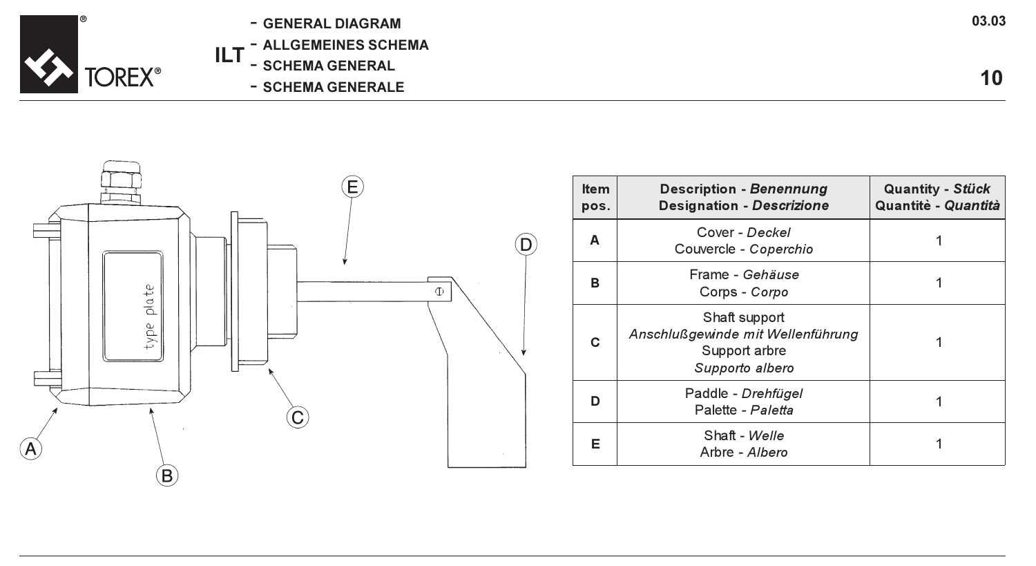

- GENERAL DIAGRAM
- ALLGEMEINES SCHEMA
- ILT - SCHEMA GENERAL
	- SCHEMA GENERALE



| <b>Item</b><br>pos. | <b>Description - Benennung</b><br><b>Designation - Descrizione</b>                     | Quantity - Stück<br>Quantitè - Quantità |
|---------------------|----------------------------------------------------------------------------------------|-----------------------------------------|
| А                   | Cover - Deckel<br>Couvercle - Coperchio                                                |                                         |
| в                   | Frame - Gehäuse<br>Corps - Corpo                                                       |                                         |
| C                   | Shaft support<br>Anschlußgewinde mit Wellenführung<br>Support arbre<br>Supporto albero |                                         |
| n                   | Paddle - Drehfügel<br>Palette - Paletta                                                |                                         |
| Е                   | Shaft - Welle<br>Arbre - Albero                                                        |                                         |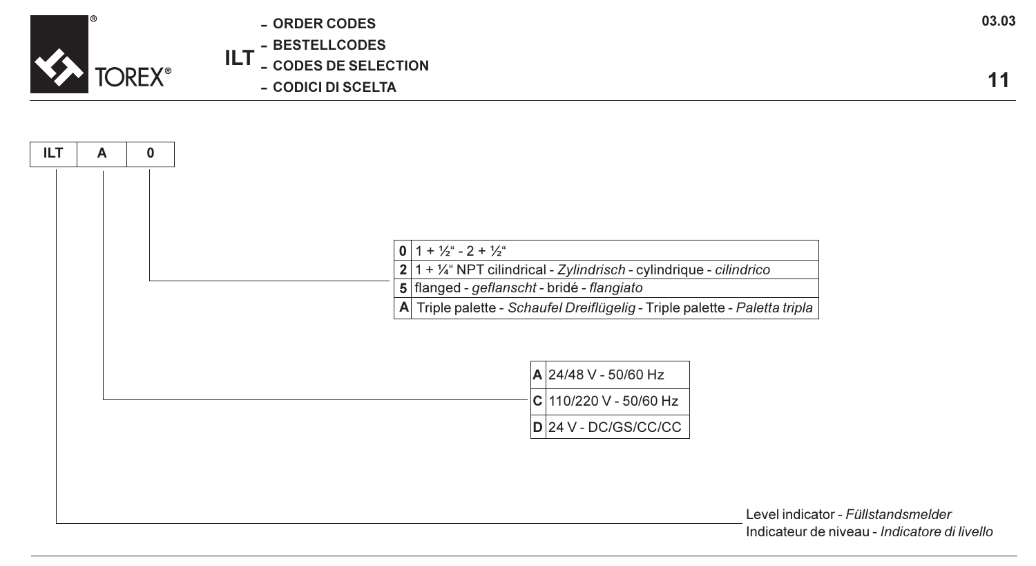

ILT - ORDER CODES - BESTELLCODES - CODES DE SELECTION - CODICI DI SCELTA



Level indicator - Füllstandsmelder Indicateur de niveau - Indicatore di livello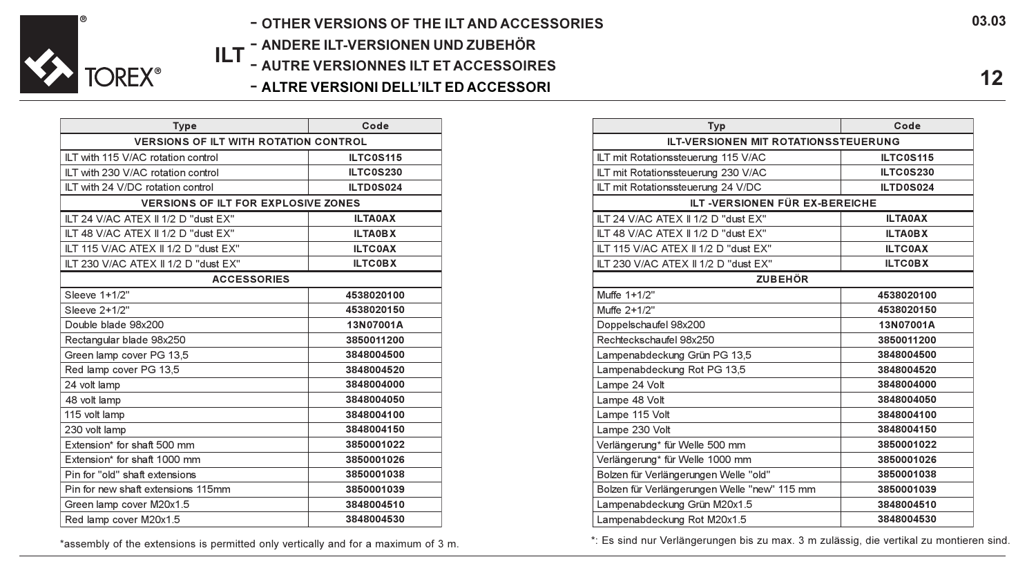

- OTHER VERSIONS OF THE ILT AND ACCESSORIES
- ILT - ANDERE ILT-VERSIONEN UND ZUBEHÖR
	- AUTRE VERSIONNES ILT ET ACCESSOIRES
		- ALTRE VERSIONI DELL'ILT ED ACCESSORI

| <b>Type</b>                                  | Code             |  |
|----------------------------------------------|------------------|--|
| <b>VERSIONS OF ILT WITH ROTATION CONTROL</b> |                  |  |
| ILT with 115 V/AC rotation control           | ILTC0S115        |  |
| ILT with 230 V/AC rotation control           | <b>ILTC0S230</b> |  |
| ILT with 24 V/DC rotation control            | ILTD0S024        |  |
| <b>VERSIONS OF ILT FOR EXPLOSIVE ZONES</b>   |                  |  |
| ILT 24 V/AC ATEX II 1/2 D "dust EX"          | <b>ILTA0AX</b>   |  |
| ILT 48 V/AC ATEX II 1/2 D "dust EX"          | <b>ILTA0BX</b>   |  |
| ILT 115 V/AC ATEX II 1/2 D "dust EX"         | <b>ILTCOAX</b>   |  |
| ILT 230 V/AC ATEX II 1/2 D "dust EX"         | <b>ILTCOBX</b>   |  |
| <b>ACCESSORIES</b>                           |                  |  |
| Sleeve 1+1/2"                                | 4538020100       |  |
| Sleeve 2+1/2"                                | 4538020150       |  |
| Double blade 98x200                          | 13N07001A        |  |
| Rectangular blade 98x250                     | 3850011200       |  |
| Green lamp cover PG 13,5                     | 3848004500       |  |
| Red lamp cover PG 13,5                       | 3848004520       |  |
| 24 volt lamp                                 | 3848004000       |  |
| 48 volt lamp                                 | 3848004050       |  |
| 115 volt lamp                                | 3848004100       |  |
| 230 volt lamp                                | 3848004150       |  |
| Extension* for shaft 500 mm                  | 3850001022       |  |
| Extension* for shaft 1000 mm                 | 3850001026       |  |
| Pin for "old" shaft extensions               | 3850001038       |  |
| Pin for new shaft extensions 115mm           | 3850001039       |  |
| Green lamp cover M20x1.5                     | 3848004510       |  |
| Red lamp cover M20x1.5                       | 3848004530       |  |

| Typ                                          | Code           |  |  |
|----------------------------------------------|----------------|--|--|
| <b>ILT-VERSIONEN MIT ROTATIONSSTEUERUNG</b>  |                |  |  |
| ILT mit Rotationssteuerung 115 V/AC          | ILTC0S115      |  |  |
| ILT mit Rotationssteuerung 230 V/AC          | ILTC0S230      |  |  |
| ILT mit Rotationssteuerung 24 V/DC           | ILTD0S024      |  |  |
| ILT-VERSIONEN FÜR EX-BEREICHE                |                |  |  |
| ILT 24 V/AC ATEX II 1/2 D "dust EX"          | <b>ILTA0AX</b> |  |  |
| ILT 48 V/AC ATEX II 1/2 D "dust EX"          | <b>ILTAOBX</b> |  |  |
| ILT 115 V/AC ATEX II 1/2 D "dust EX"         | <b>ILTCOAX</b> |  |  |
| ILT 230 V/AC ATEX II 1/2 D "dust EX"         | <b>ILTCOBX</b> |  |  |
| <b>ZUBEHÖR</b>                               |                |  |  |
| Muffe 1+1/2"                                 | 4538020100     |  |  |
| Muffe 2+1/2"                                 | 4538020150     |  |  |
| Doppelschaufel 98x200                        | 13N07001A      |  |  |
| Rechteckschaufel 98x250                      | 3850011200     |  |  |
| Lampenabdeckung Grün PG 13,5                 | 3848004500     |  |  |
| Lampenabdeckung Rot PG 13,5                  | 3848004520     |  |  |
| Lampe 24 Volt                                | 3848004000     |  |  |
| Lampe 48 Volt                                | 3848004050     |  |  |
| Lampe 115 Volt                               | 3848004100     |  |  |
| Lampe 230 Volt                               | 3848004150     |  |  |
| Verlängerung* für Welle 500 mm               | 3850001022     |  |  |
| Verlängerung* für Welle 1000 mm              | 3850001026     |  |  |
| Bolzen für Verlängerungen Welle "old"        | 3850001038     |  |  |
| Bolzen für Verlängerungen Welle "new" 115 mm | 3850001039     |  |  |
| Lampenabdeckung Grün M20x1.5                 | 3848004510     |  |  |
| Lampenabdeckung Rot M20x1.5                  | 3848004530     |  |  |

\*assembly of the extensions is permitted only vertically and for a maximum of 3 m.

\*: Es sind nur Verlängerungen bis zu max. 3 m zulässig, die vertikal zu montieren sind.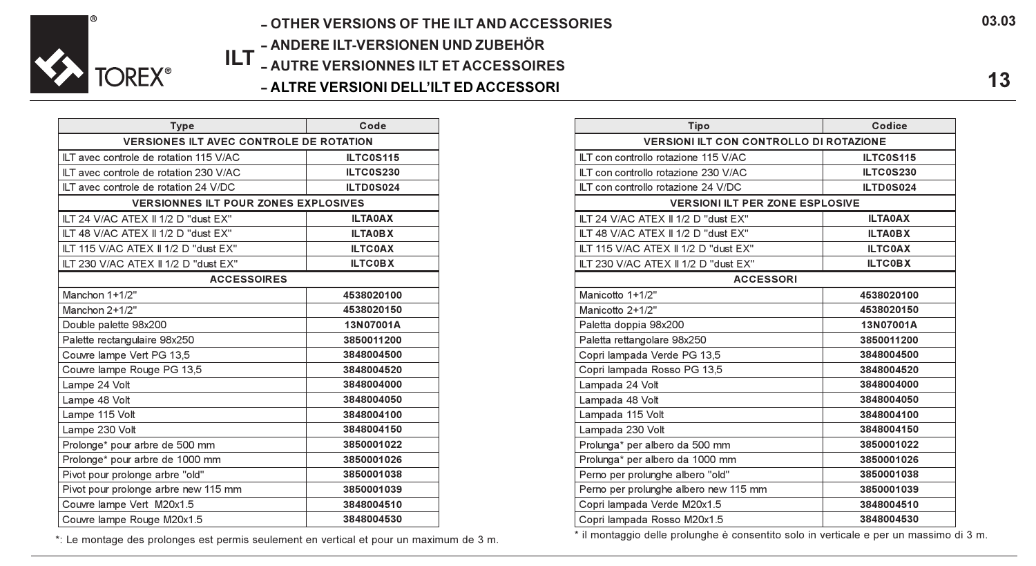

# ILT - AUTRE VERSIONNES ILT ET ACCESSOIRES - OTHER VERSIONS OF THE ILT AND ACCESSORIES - ANDERE ILT-VERSIONEN UND ZUBEHÖR

- ALTRE VERSIONI DELL'ILT ED ACCESSORI

| <b>Type</b>                                    | Code           |  |
|------------------------------------------------|----------------|--|
| <b>VERSIONES ILT AVEC CONTROLE DE ROTATION</b> |                |  |
| ILT avec controle de rotation 115 V/AC         | ILTC0S115      |  |
| ILT avec controle de rotation 230 V/AC         | ILTC0S230      |  |
| ILT avec controle de rotation 24 V/DC          | ILTD0S024      |  |
| <b>VERSIONNES ILT POUR ZONES EXPLOSIVES</b>    |                |  |
| ILT 24 V/AC ATEX II 1/2 D "dust EX"            | <b>ILTA0AX</b> |  |
| ILT 48 V/AC ATEX II 1/2 D "dust EX"            | <b>ILTAOBX</b> |  |
| ILT 115 V/AC ATEX II 1/2 D "dust EX"           | <b>ILTCOAX</b> |  |
| ILT 230 V/AC ATEX II 1/2 D "dust EX"           | <b>ILTCOBX</b> |  |
| <b>ACCESSOIRES</b>                             |                |  |
| Manchon 1+1/2"                                 | 4538020100     |  |
| Manchon 2+1/2"                                 | 4538020150     |  |
| Double palette 98x200                          | 13N07001A      |  |
| Palette rectangulaire 98x250                   | 3850011200     |  |
| Couvre lampe Vert PG 13,5                      | 3848004500     |  |
| Couvre lampe Rouge PG 13,5                     | 3848004520     |  |
| Lampe 24 Volt                                  | 3848004000     |  |
| Lampe 48 Volt                                  | 3848004050     |  |
| Lampe 115 Volt                                 | 3848004100     |  |
| Lampe 230 Volt                                 | 3848004150     |  |
| Prolonge* pour arbre de 500 mm                 | 3850001022     |  |
| Prolonge* pour arbre de 1000 mm                | 3850001026     |  |
| Pivot pour prolonge arbre "old"                | 3850001038     |  |
| Pivot pour prolonge arbre new 115 mm           | 3850001039     |  |
| Couvre lampe Vert M20x1.5                      | 3848004510     |  |
| Couvre lampe Rouge M20x1.5                     | 3848004530     |  |

| Tipo                                           | Codice         |  |
|------------------------------------------------|----------------|--|
| <b>VERSIONI ILT CON CONTROLLO DI ROTAZIONE</b> |                |  |
| ILT con controllo rotazione 115 V/AC           | ILTC0S115      |  |
| ILT con controllo rotazione 230 V/AC           | ILTC0S230      |  |
| ILT con controllo rotazione 24 V/DC            | ILTD0S024      |  |
| <b>VERSIONI ILT PER ZONE ESPLOSIVE</b>         |                |  |
| ILT 24 V/AC ATEX II 1/2 D "dust EX"            | <b>ILTA0AX</b> |  |
| ILT 48 V/AC ATEX II 1/2 D "dust EX"            | <b>ILTAOBX</b> |  |
| ILT 115 V/AC ATEX II 1/2 D "dust EX"           | <b>ILTC0AX</b> |  |
| ILT 230 V/AC ATEX II 1/2 D "dust EX"           | <b>ILTCOBX</b> |  |
| <b>ACCESSORI</b>                               |                |  |
| Manicotto 1+1/2"                               | 4538020100     |  |
| Manicotto 2+1/2"                               | 4538020150     |  |
| Paletta doppia 98x200                          | 13N07001A      |  |
| Paletta rettangolare 98x250                    | 3850011200     |  |
| Copri lampada Verde PG 13,5                    | 3848004500     |  |
| Copri lampada Rosso PG 13,5                    | 3848004520     |  |
| Lampada 24 Volt                                | 3848004000     |  |
| Lampada 48 Volt                                | 3848004050     |  |
| Lampada 115 Volt                               | 3848004100     |  |
| Lampada 230 Volt                               | 3848004150     |  |
| Prolunga* per albero da 500 mm                 | 3850001022     |  |
| Prolunga* per albero da 1000 mm                | 3850001026     |  |
| Perno per prolunghe albero "old"               | 3850001038     |  |
| Perno per prolunghe albero new 115 mm          | 3850001039     |  |
| Copri lampada Verde M20x1.5                    | 3848004510     |  |
| Copri lampada Rosso M20x1.5                    | 3848004530     |  |

\*: Le montage des prolonges est permis seulement en vertical et pour un maximum de 3 m.<br>\* il montaggio delle prolongele consentitio solo in vertical et pour un maximum de 3 m.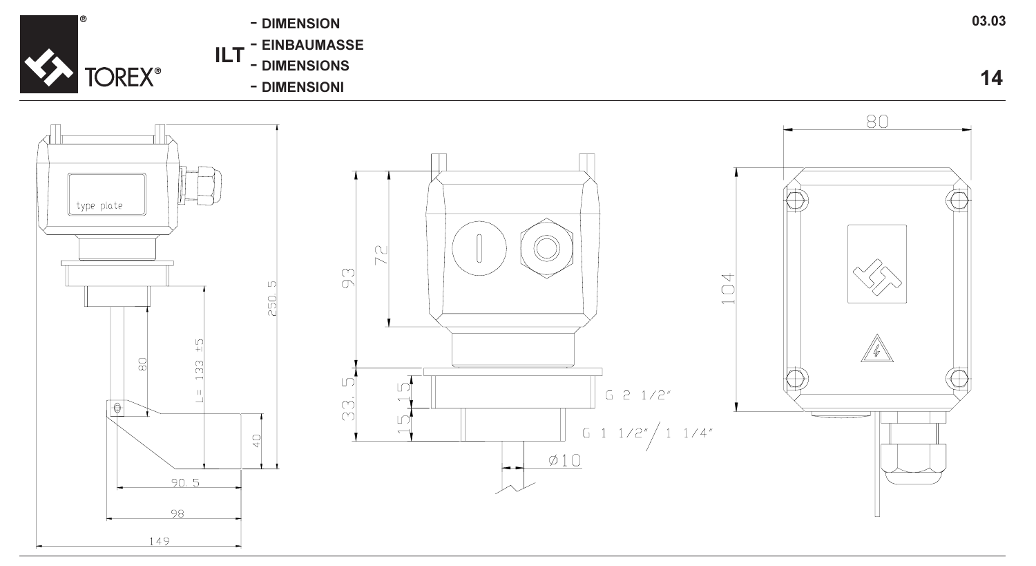

- DIMENSION
- EINBAUMASSE
- ILT -<br>-<br>-<br>-- DIMENSIONS
	- DIMENSIONI

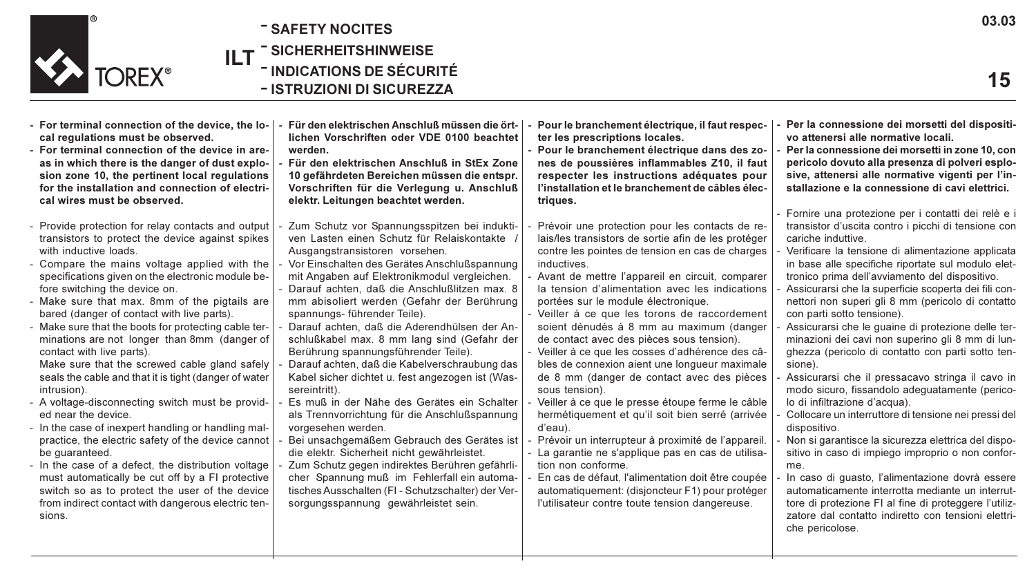

- ILT - SAFETY NOCITES - SICHERHEITSHINWEISE - INDICATIONS DE SÉCURITÉ - ISTRUZIONI DI SICUREZZA
- For terminal connection of the device, the local regulations must be observed.
- For terminal connection of the device in areas in which there is the danger of dust explosion zone 10, the pertinent local regulations for the installation and connection of electrical wires must be observed.
- Provide protection for relay contacts and output transistors to protect the device against spikes with inductive loads.
- Compare the mains voltage applied with the specifications given on the electronic module before switching the device on.
- Make sure that max. 8mm of the pigtails are bared (danger of contact with live parts).
- Make sure that the boots for protecting cable terminations are not longer than 8mm (danger of contact with live parts).
- Make sure that the screwed cable gland safely seals the cable and that it is tight (danger of water intrusion).
- A voltage-disconnecting switch must be provided near the device.
- In the case of inexpert handling or handling malpractice, the electric safety of the device cannot be guaranteed.
- In the case of a defect, the distribution voltage must automatically be cut off by a FI protective switch so as to protect the user of the device from indirect contact with dangerous electric tensions.
- Für den elektrischen Anschluß müssen die örtlichen Vorschriften oder VDE 0100 beachtet werden.
- Für den elektrischen Anschluß in StEx Zone 10 gefährdeten Bereichen müssen die entspr. Vorschriften für die Verlegung u. Anschluß elektr. Leitungen beachtet werden.
- Zum Schutz vor Spannungsspitzen bei induktiven Lasten einen Schutz für Relaiskontakte / Ausgangstransistoren vorsehen.
- Vor Einschalten des Gerätes Anschlußspannung mit Angaben auf Elektronikmodul vergleichen. - Darauf achten, daß die Anschlußlitzen max. 8 mm abisoliert werden (Gefahr der Berührung
- spannungs- führender Teile).
- Darauf achten, daß die Aderendhülsen der Anschlußkabel max. 8 mm lang sind (Gefahr der Berührung spannungsführender Teile).
- Darauf achten, daß die Kabelverschraubung das Kabel sicher dichtet u. fest angezogen ist (Wassereintritt).
- Es muß in der Nähe des Gerätes ein Schalter als Trennvorrichtung für die Anschlußspannung vorgesehen werden.
- Bei unsachgemäßem Gebrauch des Gerätes ist die elektr. Sicherheit nicht gewährleistet.
- Zum Schutz gegen indirektes Berühren gefährlicher Spannung muß im Fehlerfall ein automatisches Ausschalten (FI - Schutzschalter) der Versorgungsspannung gewährleistet sein.
- Pour le branchement électrique, il faut respecter les prescriptions locales.
- Pour le branchement électrique dans des zones de poussières inflammables Z10, il faut respecter les instructions adéquates pour l'installation et le branchement de câbles électriques.
- Prévoir une protection pour les contacts de relais/les transistors de sortie afin de les protéger contre les pointes de tension en cas de charges **inductives**
- Avant de mettre l'appareil en circuit, comparer la tension d'alimentation avec les indications portées sur le module électronique.
- Veiller à ce que les torons de raccordement soient dénudés à 8 mm au maximum (danger de contact avec des pièces sous tension).
- Veiller à ce que les cosses d'adhérence des câbles de connexion aient une longueur maximale de 8 mm (danger de contact avec des pièces sous tension).
- Veiller à ce que le presse étoupe ferme le câble hermétiquement et qu'il soit bien serré (arrivée d'eau).
- Prévoir un interrupteur à proximité de l'appareil
- La garantie ne s'applique pas en cas de utilisation non conforme.
- En cas de défaut, l'alimentation doit être coupée automatiquement: (disjoncteur F1) pour protéger l'utilisateur contre toute tension dangereuse.
- Per la connessione dei morsetti del dispositivo attenersi alle normative locali.
- Per la connessione dei morsetti in zone 10, con pericolo dovuto alla presenza di polveri esplosive, attenersi alle normative vigenti per l'installazione e la connessione di cavi elettrici.
- Fornire una protezione per i contatti dei relè e i transistor d'uscita contro i picchi di tensione con cariche induttive.
- Verificare la tensione di alimentazione applicata in base alle specifiche riportate sul modulo elettronico prima dell'avviamento del dispositivo.
- Assicurarsi che la superficie scoperta dei fili connettori non superi gli 8 mm (pericolo di contatto con parti sotto tensione).
- Assicurarsi che le quaine di protezione delle terminazioni dei cavi non superino gli 8 mm di lunghezza (pericolo di contatto con parti sotto tensione).
- Assicurarsi che il pressacavo stringa il cavo in modo sicuro, fissandolo adeguatamente (pericolo di infiltrazione d'acqua).
- Collocare un interruttore di tensione nei pressi del dispositivo.
- Non si garantisce la sicurezza elettrica del dispositivo in caso di impiego improprio o non conforme.
- In caso di guasto, l'alimentazione dovrà essere automaticamente interrotta mediante un interruttore di protezione FI al fine di proteggere l'utilizzatore dal contatto indiretto con tensioni elettriche pericolose.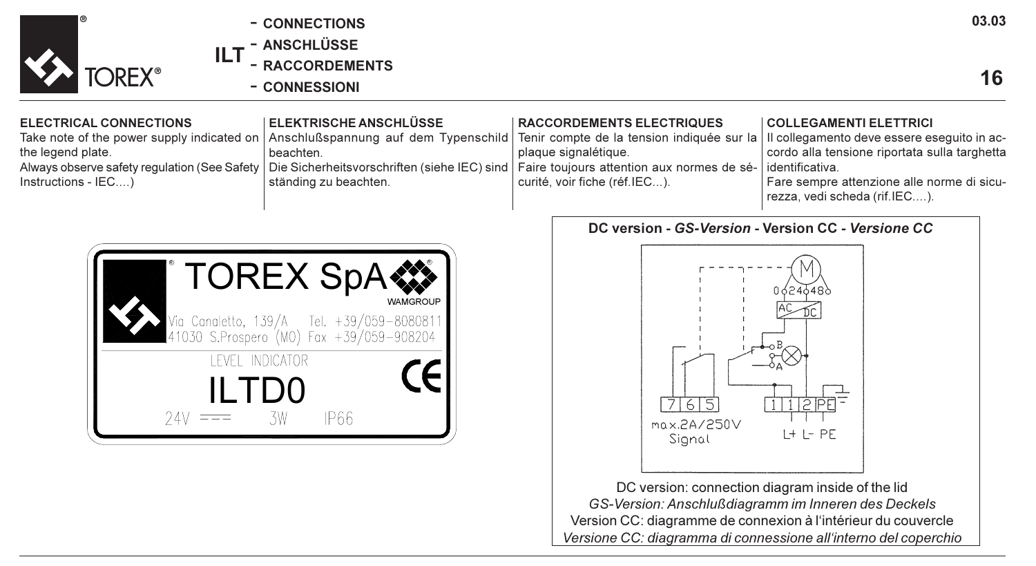

- CONNECTIONS
- ANSCHLÜSSE

ILT - RACCORDEMENTS

- CONNESSIONI

## ELECTRICAL CONNECTIONS

Take note of the power supply indicated on the legend plate. Always observe safety regulation (See Safety Instructions - IEC....)

### ELEKTRISCHE ANSCHLÜSSE

Anschlußspannung auf dem Typenschild beachten. Die Sicherheitsvorschriften (siehe IEC) sind ständing zu beachten.



## RACCORDEMENTS ELECTRIQUES

Tenir compte de la tension indiquée sur la plaque signalétique. Faire toujours attention aux normes de sécurité, voir fiche (réf.IEC...).

#### COLLEGAMENTI ELETTRICI

Il collegamento deve essere eseguito in accordo alla tensione riportata sulla targhetta identificativa.

Fare sempre attenzione alle norme di sicurezza, vedi scheda (rif.IEC....).

# DC version - GS-Version - Version CC - Versione CC



DC version: connection diagram inside of the lid GS-Version: Anschlußdiagramm im Inneren des Deckels Version CC: diagramme de connexion à l'intérieur du couvercle Versione CC: diagramma di connessione all'interno del coperchio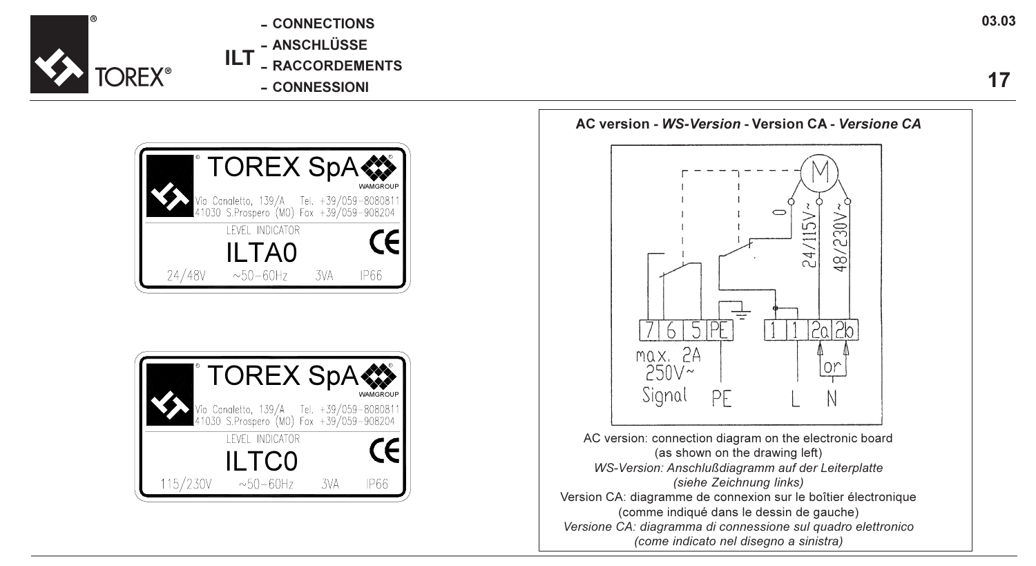

- CONNECTIONS
- ANSCHLÜSSE
- ILT - RACCORDEMENTS
	- CONNESSIONI



| <b>TOREX SpA</b> |                                                                                       |     |          |
|------------------|---------------------------------------------------------------------------------------|-----|----------|
|                  | Via Canaletto, 139/A Tel. +39/059-8080811<br>41030 S.Prospero (MO) Fax +39/059-908204 |     | WAMGROUP |
| LEVEL INDICATOR  |                                                                                       |     |          |
| ILTC0            |                                                                                       |     |          |
| 115/230V         | $~10 - 60$ Hz                                                                         | 3VA | IP66     |

AC version - WS-Version - Version CA - Versione CA  $24/115V$ /230V  $\frac{6}{4}$ 

5TPE  $2a$  $2b$ 6 max. 2A  $\bigcap$ 250V~ Signal PF

AC version: connection diagram on the electronic board (as shown on the drawing left) WS-Version: Anschlußdiagramm auf der Leiterplatte (siehe Zeichnung links) Version CA: diagramme de connexion sur le boîtier électronique (comme indiqué dans le dessin de gauche) Versione CA: diagramma di connessione sul quadro elettronico (come indicato nel disegno a sinistra)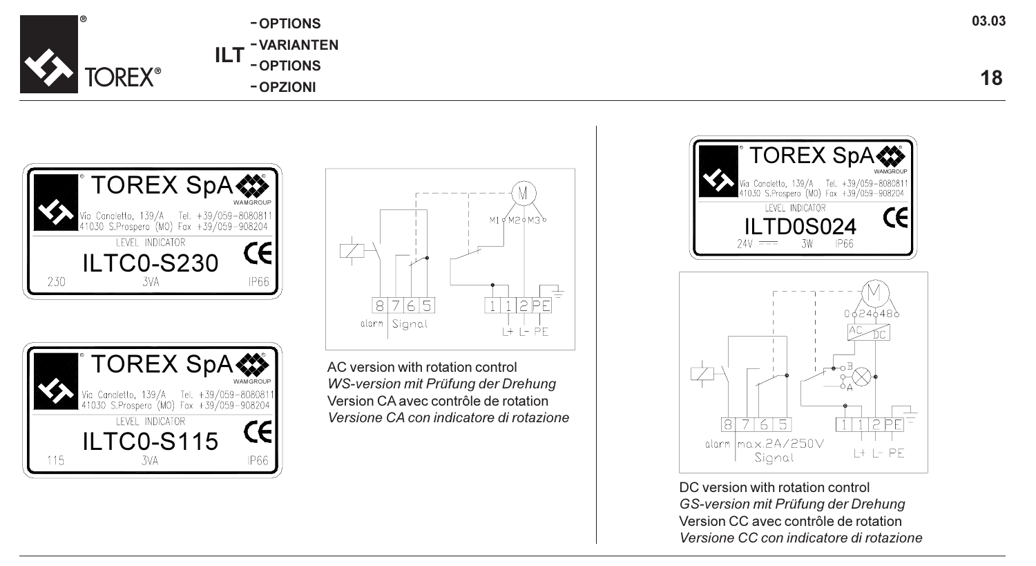

| ILT | -OPTIONS   |
|-----|------------|
|     | -VARIANTEN |
|     | - OPTIONS  |
|     | -OPZIONI   |







AC version with rotation control WS-version mit Prüfung der Drehung Version CA avec contrôle de rotation Versione CA con indicatore di rotazione





DC version with rotation control GS-version mit Prüfung der Drehung Version CC avec contrôle de rotation Versione CC con indicatore di rotazione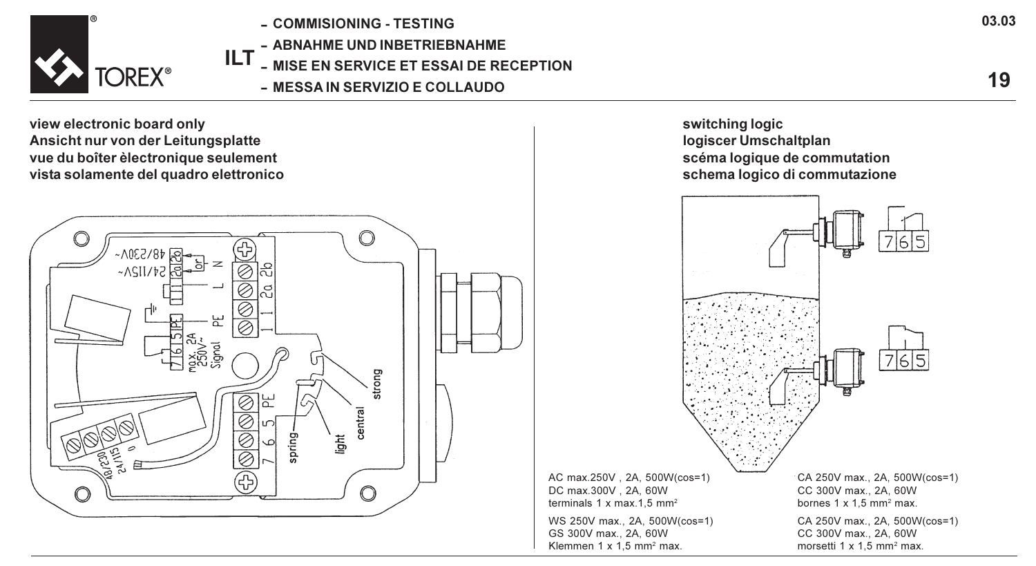

- ILT - COMMISIONING - TESTING - ABNAHME UND INBETRIEBNAHME
	- MISE EN SERVICE ET ESSAI DE RECEPTION
		- MESSA IN SERVIZIO E COLLAUDO

view electronic board only Ansicht nur von der Leitungsplatte vue du boîter èlectronique seulement vista solamente del quadro elettronico



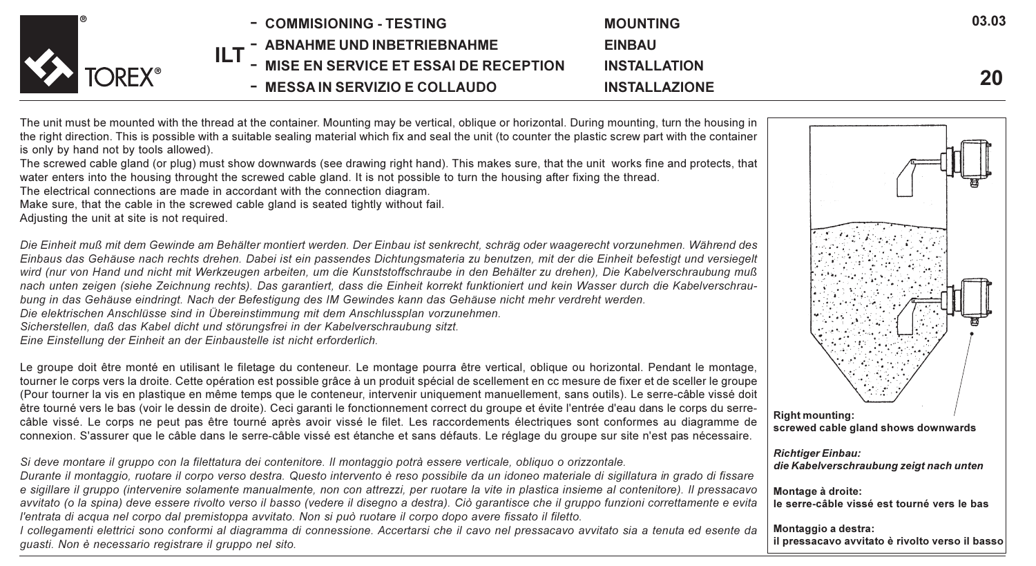

The unit must be mounted with the thread at the container. Mounting may be vertical, oblique or horizontal. During mounting, turn the housing in the right direction. This is possible with a suitable sealing material which fix and seal the unit (to counter the plastic screw part with the container is only by hand not by tools allowed).

The screwed cable gland (or plug) must show downwards (see drawing right hand). This makes sure, that the unit works fine and protects, that water enters into the housing throught the screwed cable gland. It is not possible to turn the housing after fixing the thread.

The electrical connections are made in accordant with the connection diagram.

Make sure, that the cable in the screwed cable gland is seated tightly without fail.

Adjusting the unit at site is not required.

Die Einheit muß mit dem Gewinde am Behälter montiert werden. Der Einbau ist senkrecht, schräg oder waagerecht vorzunehmen. Während des Einbaus das Gehäuse nach rechts drehen. Dabei ist ein passendes Dichtungsmateria zu benutzen, mit der die Einheit befestigt und versiegelt wird (nur von Hand und nicht mit Werkzeugen arbeiten, um die Kunststoffschraube in den Behälter zu drehen), Die Kabelverschraubung muß nach unten zeigen (siehe Zeichnung rechts). Das garantiert, dass die Einheit korrekt funktioniert und kein Wasser durch die Kabelverschraubung in das Gehäuse eindringt. Nach der Befestigung des IM Gewindes kann das Gehäuse nicht mehr verdreht werden.

Die elektrischen Anschlüsse sind in Übereinstimmung mit dem Anschlussplan vorzunehmen.

Sicherstellen, daß das Kabel dicht und störungsfrei in der Kabelverschraubung sitzt.

Eine Einstellung der Einheit an der Einbaustelle ist nicht erforderlich.

Le groupe doit être monté en utilisant le filetage du conteneur. Le montage pourra être vertical, oblique ou horizontal. Pendant le montage, tourner le corps vers la droite. Cette opération est possible grâce à un produit spécial de scellement en cc mesure de fixer et de sceller le groupe (Pour tourner la vis en plastique en même temps que le conteneur, intervenir uniquement manuellement, sans outils). Le serre-câble vissé doit être tourné vers le bas (voir le dessin de droite). Ceci garanti le fonctionnement correct du groupe et évite l'entrée d'eau dans le corps du serrecâble vissé. Le corps ne peut pas être tourné après avoir vissé le filet. Les raccordements électriques sont conformes au diagramme de connexion. S'assurer que le câble dans le serre-câble vissé est étanche et sans défauts. Le réglage du groupe sur site n'est pas nécessaire.

Si deve montare il gruppo con la filettatura dei contenitore. Il montaggio potrà essere verticale, obliquo o orizzontale.

Durante il montaggio, ruotare il corpo verso destra. Questo intervento è reso possibile da un idoneo materiale di sigillatura in grado di fissare e sigillare il gruppo (intervenire solamente manualmente, non con attrezzi, per ruotare la vite in plastica insieme al contenitore). Il pressacavo avvitato (o la spina) deve essere rivolto verso il basso (vedere il disegno a destra). Ciò garantisce che il gruppo funzioni correttamente e evita l'entrata di acqua nel corpo dal premistoppa avvitato. Non si può ruotare il corpo dopo avere fissato il filetto.

I collegamenti elettrici sono conformi al diagramma di connessione. Accertarsi che il cavo nel pressacavo avvitato sia a tenuta ed esente da guasti. Non è necessario registrare il gruppo nel sito.



03.03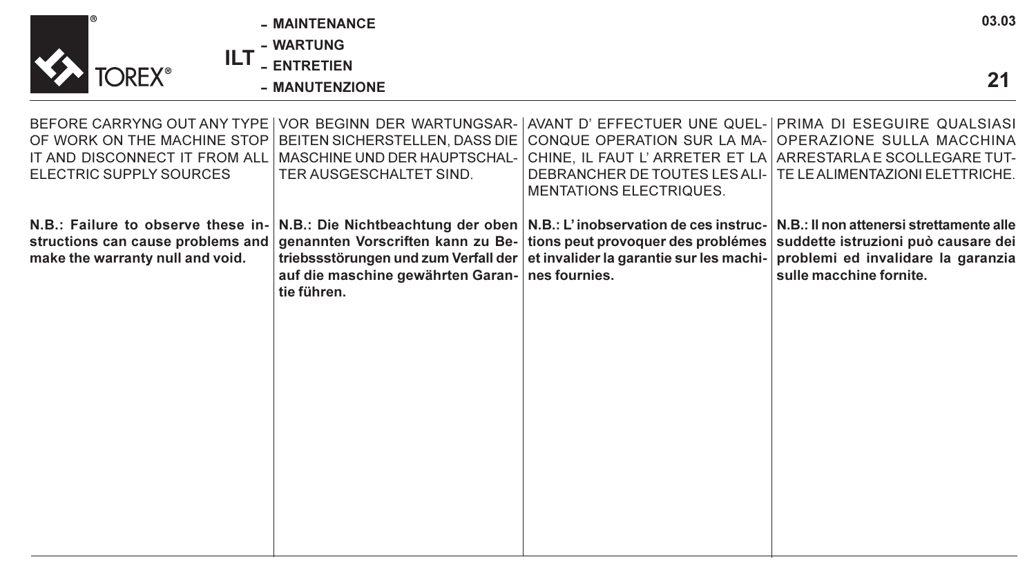| ®                                                                                                           | - MAINTENANCE<br><b>WARTUNG</b>                                                                                                                            |                                                                                                                                                                                                                                   | 03.03                                                                                                                                            |
|-------------------------------------------------------------------------------------------------------------|------------------------------------------------------------------------------------------------------------------------------------------------------------|-----------------------------------------------------------------------------------------------------------------------------------------------------------------------------------------------------------------------------------|--------------------------------------------------------------------------------------------------------------------------------------------------|
| ILT<br><b>TOREX<sup>®</sup></b>                                                                             | <b>ENTRETIEN</b><br>- MANUTENZIONE                                                                                                                         |                                                                                                                                                                                                                                   | 21                                                                                                                                               |
| OF WORK ON THE MACHINE STOP<br>IT AND DISCONNECT IT FROM ALL<br>ELECTRIC SUPPLY SOURCES                     | BEFORE CARRYNG OUT ANY TYPE VOR BEGINN DER WARTUNGSAR-<br>BEITEN SICHERSTELLEN, DASS DIE<br><b>MASCHINE UND DER HAUPTSCHAL-</b><br>TER AUSGESCHALTET SIND. | AVANT D' EFFECTUER UNE QUEL- PRIMA DI ESEGUIRE QUALSIASI<br>CONQUE OPERATION SUR LA MA-<br>DEBRANCHER DE TOUTES LES ALI-<br><b>MENTATIONS ELECTRIQUES.</b>                                                                        | OPERAZIONE SULLA MACCHINA<br>CHINE. IL FAUT L'ARRETER ET LA ARRESTARLA E SCOLLEGARE TUT-<br>TE LE ALIMENTAZIONI ELETTRICHE.                      |
| N.B.: Failure to observe these in-<br>structions can cause problems and<br>make the warranty null and void. | auf die maschine gewährten Garan- nes fournies.<br>tie führen.                                                                                             | N.B.: Die Nichtbeachtung der oben   N.B.: L'inobservation de ces instruc-<br>genannten Vorscriften kann zu Be- tions peut provoquer des problémes<br>triebssstörungen und zum Verfall der et invalider la garantie sur les machi- | N.B.: Il non attenersi strettamente alle<br>suddette istruzioni può causare dei<br>problemi ed invalidare la garanzia<br>sulle macchine fornite. |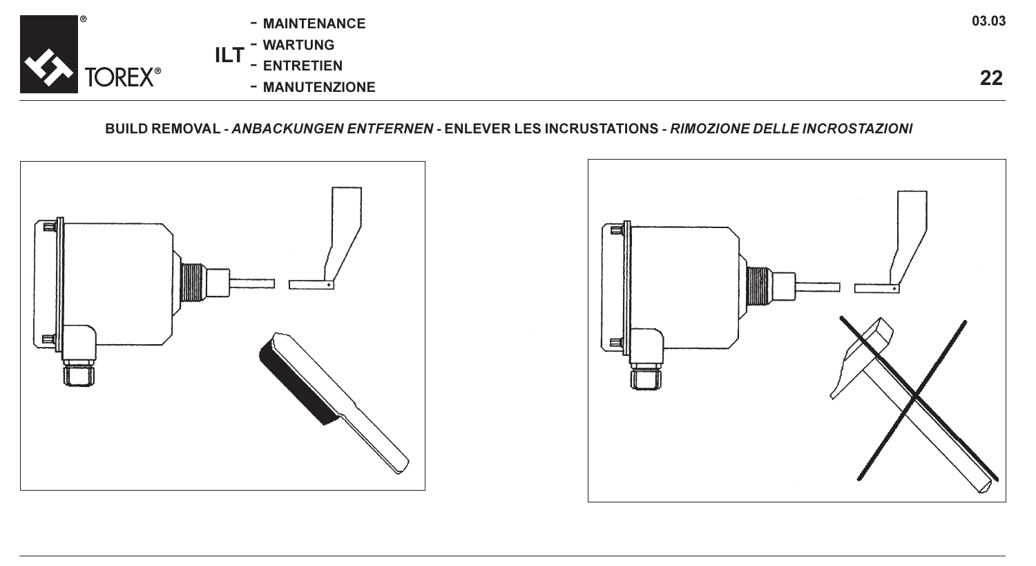|                                | - MAINTENANCE     | 03.03 |
|--------------------------------|-------------------|-------|
|                                | - WARTUNG         |       |
| <b>TOREX<sup>®</sup></b><br>ΔХ | ш.<br>- ENTRETIEN | n-    |
|                                | - MANUTENZIONE    | --    |

BUILD REMOVAL - ANBACKUNGEN ENTFERNEN - ENLEVER LES INCRUSTATIONS - RIMOZIONE DELLE INCROSTAZIONI

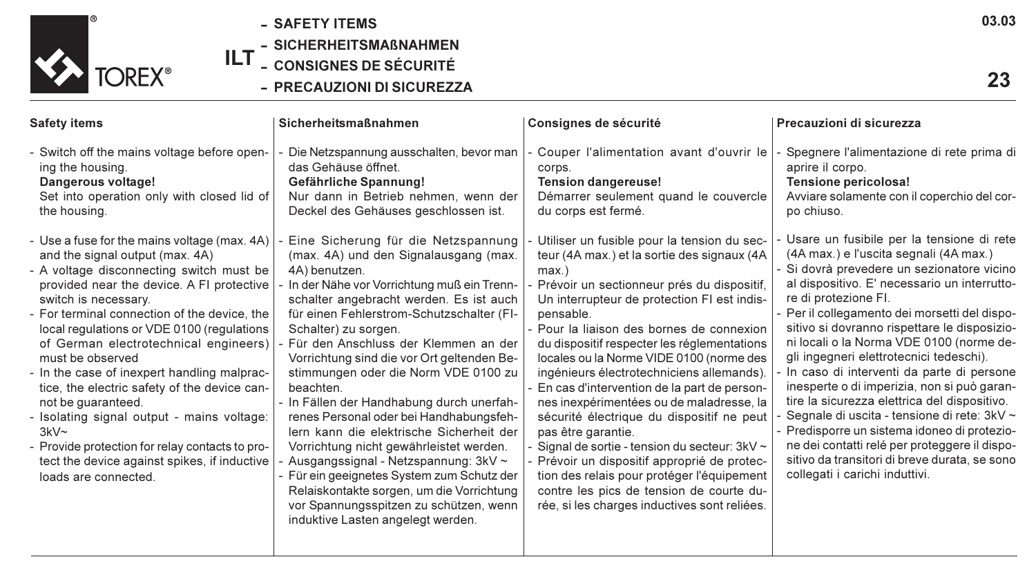

- SAFETY ITEMS
- SICHERHEITSMAßNAHMEN
- ILT - CONSIGNES DE SÉCURITÉ
	- PRECAUZIONI DI SICUREZZA

| <b>Safety items</b>                                                                                                                                                                                                                                                                                                                                                                                                                                                                                                                                                                                                                                                  | <b>Sicherheitsmaßnahmen</b>                                                                                                                                                                                                                                                                                                                                                                                                                                                                                                                                                                                                                                                                                                                                                                          | Consignes de sécurité                                                                                                                                                                                                                                                                                                                                                                                                                                                                                                                                                                                                                                                                                                                                                                                 | Precauzioni di sicurezza                                                                                                                                                                                                                                                                                                                                                                                                                                                                                                                                                                                                                                                                                                                                                       |
|----------------------------------------------------------------------------------------------------------------------------------------------------------------------------------------------------------------------------------------------------------------------------------------------------------------------------------------------------------------------------------------------------------------------------------------------------------------------------------------------------------------------------------------------------------------------------------------------------------------------------------------------------------------------|------------------------------------------------------------------------------------------------------------------------------------------------------------------------------------------------------------------------------------------------------------------------------------------------------------------------------------------------------------------------------------------------------------------------------------------------------------------------------------------------------------------------------------------------------------------------------------------------------------------------------------------------------------------------------------------------------------------------------------------------------------------------------------------------------|-------------------------------------------------------------------------------------------------------------------------------------------------------------------------------------------------------------------------------------------------------------------------------------------------------------------------------------------------------------------------------------------------------------------------------------------------------------------------------------------------------------------------------------------------------------------------------------------------------------------------------------------------------------------------------------------------------------------------------------------------------------------------------------------------------|--------------------------------------------------------------------------------------------------------------------------------------------------------------------------------------------------------------------------------------------------------------------------------------------------------------------------------------------------------------------------------------------------------------------------------------------------------------------------------------------------------------------------------------------------------------------------------------------------------------------------------------------------------------------------------------------------------------------------------------------------------------------------------|
| - Switch off the mains voltage before open-<br>ing the housing.<br>Dangerous voltage!<br>Set into operation only with closed lid of<br>the housing.                                                                                                                                                                                                                                                                                                                                                                                                                                                                                                                  | Die Netzspannung ausschalten, bevor man<br>das Gehäuse öffnet.<br>Gefährliche Spannung!<br>Nur dann in Betrieb nehmen, wenn der<br>Deckel des Gehäuses geschlossen ist.                                                                                                                                                                                                                                                                                                                                                                                                                                                                                                                                                                                                                              | Couper l'alimentation avant d'ouvrir le<br>corps.<br><b>Tension dangereuse!</b><br>Démarrer seulement quand le couvercle<br>du corps est fermé.                                                                                                                                                                                                                                                                                                                                                                                                                                                                                                                                                                                                                                                       | Spegnere l'alimentazione di rete prima di<br>aprire il corpo.<br>Tensione pericolosa!<br>Avviare solamente con il coperchio del cor-<br>po chiuso.                                                                                                                                                                                                                                                                                                                                                                                                                                                                                                                                                                                                                             |
| - Use a fuse for the mains voltage (max. 4A)<br>and the signal output (max. 4A)<br>- A voltage disconnecting switch must be<br>provided near the device. A FI protective<br>switch is necessary.<br>- For terminal connection of the device, the<br>local regulations or VDE 0100 (regulations<br>of German electrotechnical engineers)<br>must be observed<br>- In the case of inexpert handling malprac-<br>tice, the electric safety of the device can-<br>not be quaranteed.<br>- Isolating signal output - mains voltage:<br>$3kV -$<br>- Provide protection for relay contacts to pro-<br>tect the device against spikes, if inductive<br>loads are connected. | Eine Sicherung für die Netzspannung<br>(max. 4A) und den Signalausgang (max.<br>4A) benutzen.<br>In der Nähe vor Vorrichtung muß ein Trenn-<br>schalter angebracht werden. Es ist auch<br>für einen Fehlerstrom-Schutzschalter (FI-<br>Schalter) zu sorgen.<br>Für den Anschluss der Klemmen an der<br>Vorrichtung sind die vor Ort geltenden Be-<br>stimmungen oder die Norm VDE 0100 zu<br>heachten<br>- In Fällen der Handhabung durch unerfah-<br>renes Personal oder bei Handhabungsfeh-<br>Jern kann die elektrische Sicherheit der<br>Vorrichtung nicht gewährleistet werden.<br>Ausgangssignal - Netzspannung: 3kV ~<br>Für ein geeignetes System zum Schutz der<br>Relaiskontakte sorgen, um die Vorrichtung<br>vor Spannungsspitzen zu schützen, wenn<br>induktive Lasten angelegt werden. | Utiliser un fusible pour la tension du sec-<br>teur (4A max.) et la sortie des signaux (4A<br>max.<br>Prévoir un sectionneur prés du dispositif.<br>Un interrupteur de protection FI est indis-<br>pensable.<br>Pour la liaison des bornes de connexion<br>du dispositif respecter les réglementations<br>locales ou la Norme VIDE 0100 (norme des<br>ingénieurs électrotechniciens allemands).<br>En cas d'intervention de la part de person-<br>nes inexpérimentées ou de maladresse, la<br>sécurité électrique du dispositif ne peut<br>pas être garantie.<br>Signal de sortie - tension du secteur: 3kV ~<br>Prévoir un dispositif approprié de protec-<br>tion des relais pour protéger l'équipement<br>contre les pics de tension de courte du-<br>rée, si les charges inductives sont reliées. | Usare un fusibile per la tensione di rete<br>(4A max.) e l'uscita segnali (4A max.)<br>Si dovrà prevedere un sezionatore vicino<br>al dispositivo. E' necessario un interrutto-<br>re di protezione FI.<br>- Per il collegamento dei morsetti del dispo-<br>sitivo si dovranno rispettare le disposizio-<br>ni locali o la Norma VDE 0100 (norme de-<br>gli ingegneri elettrotecnici tedeschi).<br>In caso di interventi da parte di persone<br>inesperte o di imperizia, non si può garan-<br>tire la sicurezza elettrica del dispositivo.<br>Segnale di uscita - tensione di rete: 3kV ~<br>- Predisporre un sistema idoneo di protezio-<br>ne dei contatti relé per proteggere il dispo-<br>sitivo da transitori di breve durata, se sono<br>collegati i carichi induttivi. |